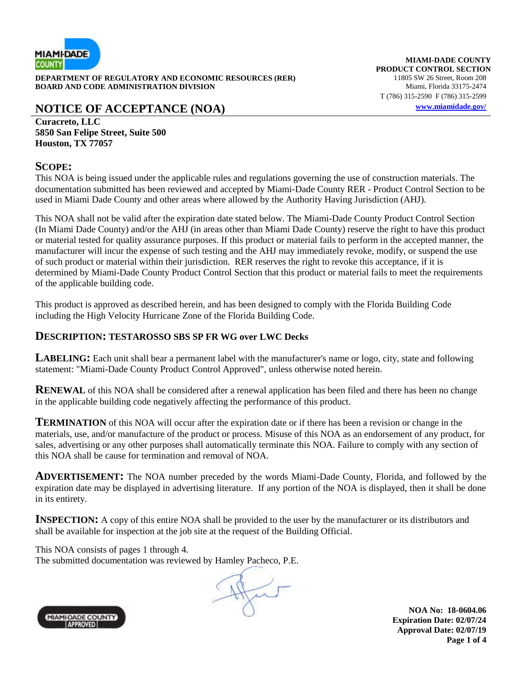

**DEPARTMENT OF REGULATORY AND ECONOMIC RESOURCES (RER)** 11805 SW 26 Street, Room 208<br>**BOARD AND CODE ADMINISTRATION DIVISION** 11805 SW 16 Miami. Florida 33175-2474 **BOARD AND CODE ADMINISTRATION DIVISION** 

# **NOTICE OF ACCEPTANCE (NOA) www.miamidade.gov/**

**Curacreto, LLC 5850 San Felipe Street, Suite 500 Houston, TX 77057**

## **SCOPE:**

This NOA is being issued under the applicable rules and regulations governing the use of construction materials. The documentation submitted has been reviewed and accepted by Miami-Dade County RER - Product Control Section to be used in Miami Dade County and other areas where allowed by the Authority Having Jurisdiction (AHJ).

This NOA shall not be valid after the expiration date stated below. The Miami-Dade County Product Control Section (In Miami Dade County) and/or the AHJ (in areas other than Miami Dade County) reserve the right to have this product or material tested for quality assurance purposes. If this product or material fails to perform in the accepted manner, the manufacturer will incur the expense of such testing and the AHJ may immediately revoke, modify, or suspend the use of such product or material within their jurisdiction. RER reserves the right to revoke this acceptance, if it is determined by Miami-Dade County Product Control Section that this product or material fails to meet the requirements of the applicable building code.

This product is approved as described herein, and has been designed to comply with the Florida Building Code including the High Velocity Hurricane Zone of the Florida Building Code.

#### **DESCRIPTION: TESTAROSSO SBS SP FR WG over LWC Decks**

**LABELING:** Each unit shall bear a permanent label with the manufacturer's name or logo, city, state and following statement: "Miami-Dade County Product Control Approved", unless otherwise noted herein.

**RENEWAL** of this NOA shall be considered after a renewal application has been filed and there has been no change in the applicable building code negatively affecting the performance of this product.

**TERMINATION** of this NOA will occur after the expiration date or if there has been a revision or change in the materials, use, and/or manufacture of the product or process. Misuse of this NOA as an endorsement of any product, for sales, advertising or any other purposes shall automatically terminate this NOA. Failure to comply with any section of this NOA shall be cause for termination and removal of NOA.

**ADVERTISEMENT:** The NOA number preceded by the words Miami-Dade County, Florida, and followed by the expiration date may be displayed in advertising literature. If any portion of the NOA is displayed, then it shall be done in its entirety.

**INSPECTION:** A copy of this entire NOA shall be provided to the user by the manufacturer or its distributors and shall be available for inspection at the job site at the request of the Building Official.

This NOA consists of pages 1 through 4. The submitted documentation was reviewed by Hamley Pacheco, P.E.

Affere



**MIAMI-DADE COUNTY PRODUCT CONTROL SECTION** T (786) 315-2590 F (786) 315-2599

> **NOA No: 18-0604.06 Expiration Date: 02/07/24 Approval Date: 02/07/19 Page 1 of 4**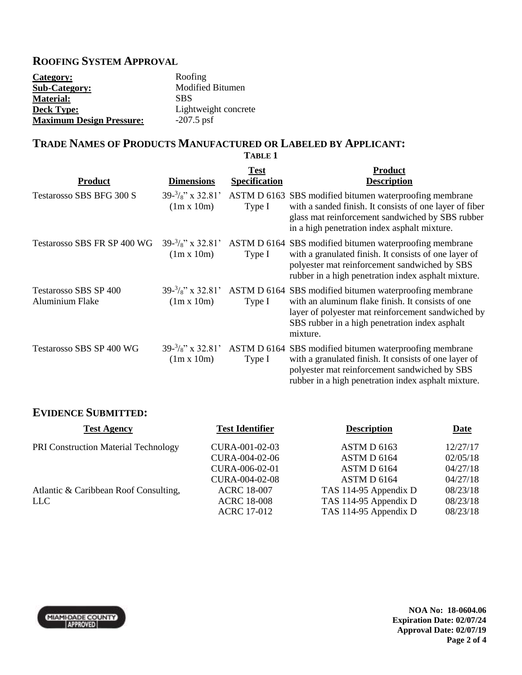## **ROOFING SYSTEM APPROVAL**

| Category:                       | Roofing                 |
|---------------------------------|-------------------------|
| <b>Sub-Category:</b>            | <b>Modified Bitumen</b> |
| <b>Material:</b>                | <b>SBS</b>              |
| <b>Deck Type:</b>               | Lightweight concrete    |
| <b>Maximum Design Pressure:</b> | $-207.5$ psf            |

### **TRADE NAMES OF PRODUCTS MANUFACTURED OR LABELED BY APPLICANT: TABLE 1**

| <b>Product</b>                                  | <b>Dimensions</b>                               | Test<br><b>Specification</b> | <b>Product</b><br><b>Description</b>                                                                                                                                                                                             |
|-------------------------------------------------|-------------------------------------------------|------------------------------|----------------------------------------------------------------------------------------------------------------------------------------------------------------------------------------------------------------------------------|
| Testarosso SBS BFG 300 S                        | $39-3/8$ " x 32.81"<br>$(1m \times 10m)$        | Type I                       | ASTM D 6163 SBS modified bitumen waterproofing membrane<br>with a sanded finish. It consists of one layer of fiber<br>glass mat reinforcement sandwiched by SBS rubber<br>in a high penetration index asphalt mixture.           |
| Testarosso SBS FR SP 400 WG                     | $39-3\frac{3}{8}$ x 32.81'<br>$(1m \times 10m)$ | Type I                       | ASTM D 6164 SBS modified bitumen waterproofing membrane<br>with a granulated finish. It consists of one layer of<br>polyester mat reinforcement sandwiched by SBS<br>rubber in a high penetration index asphalt mixture.         |
| Testarosso SBS SP 400<br><b>Aluminium Flake</b> | $39-3/8$ " x 32.81'<br>$(1m \times 10m)$        | Type I                       | ASTM D 6164 SBS modified bitumen waterproofing membrane<br>with an aluminum flake finish. It consists of one<br>layer of polyester mat reinforcement sandwiched by<br>SBS rubber in a high penetration index asphalt<br>mixture. |
| Testarosso SBS SP 400 WG                        | $39-^{3}/8$ " x 32.81'<br>$(1m \times 10m)$     | Type I                       | ASTM D 6164 SBS modified bitumen waterproofing membrane<br>with a granulated finish. It consists of one layer of<br>polyester mat reinforcement sandwiched by SBS<br>rubber in a high penetration index asphalt mixture.         |

## **EVIDENCE SUBMITTED:**

| <b>Test Agency</b>                    | <b>Test Identifier</b> | <b>Description</b>    | <b>Date</b> |
|---------------------------------------|------------------------|-----------------------|-------------|
| PRI Construction Material Technology  | CURA-001-02-03         | ASTM D 6163           | 12/27/17    |
|                                       | CURA-004-02-06         | ASTM D 6164           | 02/05/18    |
|                                       | CURA-006-02-01         | ASTM D 6164           | 04/27/18    |
|                                       | <b>CURA-004-02-08</b>  | ASTM D 6164           | 04/27/18    |
| Atlantic & Caribbean Roof Consulting, | <b>ACRC 18-007</b>     | TAS 114-95 Appendix D | 08/23/18    |
| LLC                                   | <b>ACRC 18-008</b>     | TAS 114-95 Appendix D | 08/23/18    |
|                                       | <b>ACRC 17-012</b>     | TAS 114-95 Appendix D | 08/23/18    |

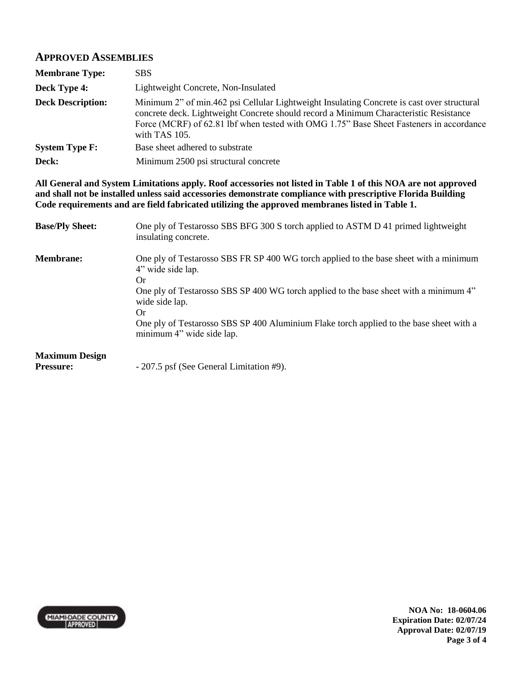### **APPROVED ASSEMBLIES**

| <b>Membrane Type:</b>    | <b>SBS</b>                                                                                                                                                                                                                                                                                         |
|--------------------------|----------------------------------------------------------------------------------------------------------------------------------------------------------------------------------------------------------------------------------------------------------------------------------------------------|
| Deck Type 4:             | Lightweight Concrete, Non-Insulated                                                                                                                                                                                                                                                                |
| <b>Deck Description:</b> | Minimum 2" of min.462 psi Cellular Lightweight Insulating Concrete is cast over structural<br>concrete deck. Lightweight Concrete should record a Minimum Characteristic Resistance<br>Force (MCRF) of 62.81 lbf when tested with OMG 1.75" Base Sheet Fasteners in accordance<br>with TAS $105$ . |
| <b>System Type F:</b>    | Base sheet adhered to substrate                                                                                                                                                                                                                                                                    |
| Deck:                    | Minimum 2500 psi structural concrete                                                                                                                                                                                                                                                               |

**All General and System Limitations apply. Roof accessories not listed in Table 1 of this NOA are not approved and shall not be installed unless said accessories demonstrate compliance with prescriptive Florida Building Code requirements and are field fabricated utilizing the approved membranes listed in Table 1.**

| <b>Base/Ply Sheet:</b>                    | One ply of Testarosso SBS BFG 300 S torch applied to ASTM D 41 primed lightweight<br>insulating concrete.                                                                                                                                                                                                                                                         |
|-------------------------------------------|-------------------------------------------------------------------------------------------------------------------------------------------------------------------------------------------------------------------------------------------------------------------------------------------------------------------------------------------------------------------|
| <b>Membrane:</b>                          | One ply of Testarosso SBS FR SP 400 WG torch applied to the base sheet with a minimum<br>4" wide side lap.<br><b>Or</b><br>One ply of Testarosso SBS SP 400 WG torch applied to the base sheet with a minimum 4"<br>wide side lap.<br>Or.<br>One ply of Testarosso SBS SP 400 Aluminium Flake torch applied to the base sheet with a<br>minimum 4" wide side lap. |
| <b>Maximum Design</b><br><b>Pressure:</b> | - 207.5 psf (See General Limitation #9).                                                                                                                                                                                                                                                                                                                          |